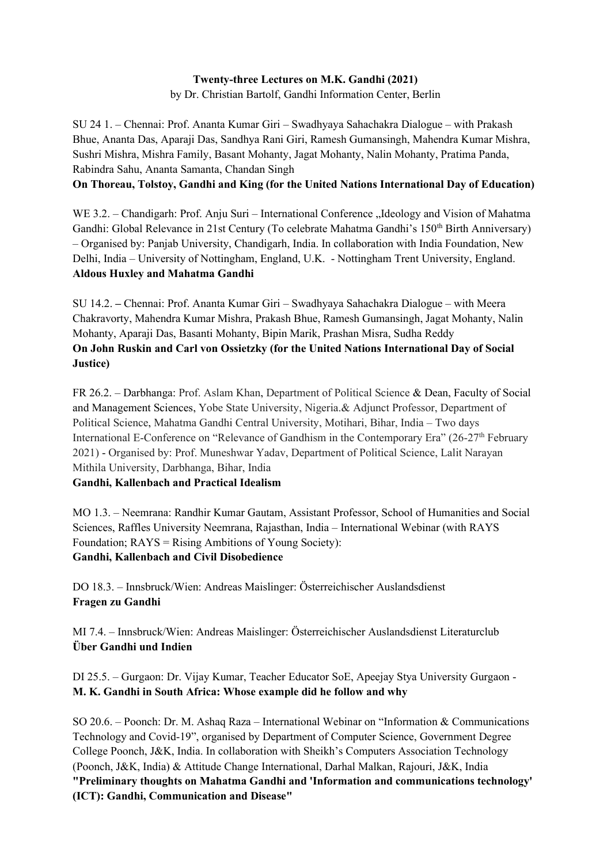# **Twenty-three Lectures on M.K. Gandhi (2021)**

by Dr. Christian Bartolf, Gandhi Information Center, Berlin

SU 24 1. – Chennai: Prof. Ananta Kumar Giri – Swadhyaya Sahachakra Dialogue – with Prakash Bhue, Ananta Das, Aparaji Das, Sandhya Rani Giri, Ramesh Gumansingh, Mahendra Kumar Mishra, Sushri Mishra, Mishra Family, Basant Mohanty, Jagat Mohanty, Nalin Mohanty, Pratima Panda, Rabindra Sahu, Ananta Samanta, Chandan Singh

## **On Thoreau, Tolstoy, Gandhi and King (for the United Nations International Day of Education)**

WE 3.2. – Chandigarh: Prof. Anju Suri – International Conference "Ideology and Vision of Mahatma Gandhi: Global Relevance in 21st Century (To celebrate Mahatma Gandhi's 150<sup>th</sup> Birth Anniversary) – Organised by: Panjab University, Chandigarh, India. In collaboration with India Foundation, New Delhi, India – University of Nottingham, England, U.K. - Nottingham Trent University, England. **Aldous Huxley and Mahatma Gandhi**

SU 14.2. **–** Chennai: Prof. Ananta Kumar Giri – Swadhyaya Sahachakra Dialogue – with Meera Chakravorty, Mahendra Kumar Mishra, Prakash Bhue, Ramesh Gumansingh, Jagat Mohanty, Nalin Mohanty, Aparaji Das, Basanti Mohanty, Bipin Marik, Prashan Misra, Sudha Reddy **On John Ruskin and Carl von Ossietzky (for the United Nations International Day of Social Justice)**

FR 26.2. – Darbhanga: Prof. Aslam Khan, Department of Political Science & Dean, Faculty of Social and Management Sciences, Yobe State University, Nigeria.& Adjunct Professor, Department of Political Science, Mahatma Gandhi Central University, Motihari, Bihar, India – Two days International E-Conference on "Relevance of Gandhism in the Contemporary Era" (26-27<sup>th</sup> February 2021) - Organised by: Prof. Muneshwar Yadav, Department of Political Science, Lalit Narayan Mithila University, Darbhanga, Bihar, India

### **Gandhi, Kallenbach and Practical Idealism**

MO 1.3. – Neemrana: Randhir Kumar Gautam, Assistant Professor, School of Humanities and Social Sciences, Raffles University Neemrana, Rajasthan, India – International Webinar (with RAYS Foundation; RAYS = Rising Ambitions of Young Society): **Gandhi, Kallenbach and Civil Disobedience**

DO 18.3. – Innsbruck/Wien: Andreas Maislinger: Österreichischer Auslandsdienst **Fragen zu Gandhi**

MI 7.4. – Innsbruck/Wien: Andreas Maislinger: Österreichischer Auslandsdienst Literaturclub **Über Gandhi und Indien**

DI 25.5. – Gurgaon: Dr. Vijay Kumar, Teacher Educator SoE, Apeejay Stya University Gurgaon - **M. K. Gandhi in South Africa: Whose example did he follow and why**

SO 20.6. – Poonch: Dr. M. Ashaq Raza – International Webinar on "Information & Communications Technology and Covid-19", organised by Department of Computer Science, Government Degree College Poonch, J&K, India. In collaboration with Sheikh's Computers Association Technology (Poonch, J&K, India) & Attitude Change International, Darhal Malkan, Rajouri, J&K, India **"Preliminary thoughts on Mahatma Gandhi and 'Information and communications technology' (ICT): Gandhi, Communication and Disease"**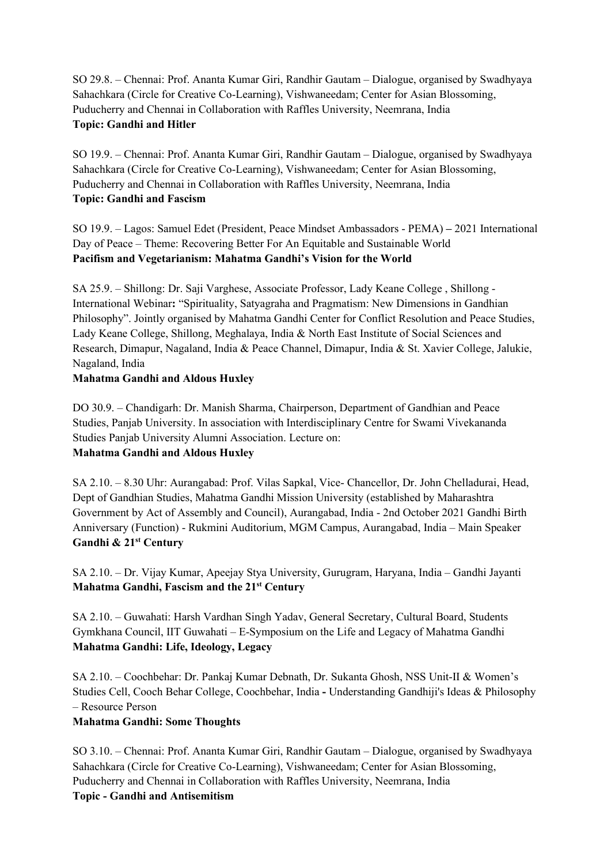SO 29.8. – Chennai: Prof. Ananta Kumar Giri, Randhir Gautam – Dialogue, organised by Swadhyaya Sahachkara (Circle for Creative Co-Learning), Vishwaneedam; Center for Asian Blossoming, Puducherry and Chennai in Collaboration with Raffles University, Neemrana, India **Topic: Gandhi and Hitler**

SO 19.9. – Chennai: Prof. Ananta Kumar Giri, Randhir Gautam – Dialogue, organised by Swadhyaya Sahachkara (Circle for Creative Co-Learning), Vishwaneedam; Center for Asian Blossoming, Puducherry and Chennai in Collaboration with Raffles University, Neemrana, India **Topic: Gandhi and Fascism**

SO 19.9. – Lagos: Samuel Edet (President, Peace Mindset Ambassadors - PEMA) **–** 2021 International Day of Peace – Theme: Recovering Better For An Equitable and Sustainable World **Pacifism and Vegetarianism: Mahatma Gandhi's Vision for the World**

SA 25.9. – Shillong: Dr. Saji Varghese, Associate Professor, Lady Keane College , Shillong - International Webinar**:** "Spirituality, Satyagraha and Pragmatism: New Dimensions in Gandhian Philosophy". Jointly organised by Mahatma Gandhi Center for Conflict Resolution and Peace Studies, Lady Keane College, Shillong, Meghalaya, India & North East Institute of Social Sciences and Research, Dimapur, Nagaland, India & Peace Channel, Dimapur, India & St. Xavier College, Jalukie, Nagaland, India

#### **Mahatma Gandhi and Aldous Huxley**

DO 30.9. – Chandigarh: Dr. Manish Sharma, Chairperson, Department of Gandhian and Peace Studies, Panjab University. In association with Interdisciplinary Centre for Swami Vivekananda Studies Panjab University Alumni Association. Lecture on: **Mahatma Gandhi and Aldous Huxley**

SA 2.10. – 8.30 Uhr: Aurangabad: Prof. Vilas Sapkal, Vice- Chancellor, Dr. John Chelladurai, Head, Dept of Gandhian Studies, Mahatma Gandhi Mission University (established by Maharashtra Government by Act of Assembly and Council), Aurangabad, India - 2nd October 2021 Gandhi Birth Anniversary (Function) - Rukmini Auditorium, MGM Campus, Aurangabad, India – Main Speaker **Gandhi & 21st Century**

SA 2.10. – Dr. Vijay Kumar, Apeejay Stya University, Gurugram, Haryana, India – Gandhi Jayanti **Mahatma Gandhi, Fascism and the 21st Century**

SA 2.10. – Guwahati: Harsh Vardhan Singh Yadav, General Secretary, Cultural Board, Students Gymkhana Council, IIT Guwahati – E-Symposium on the Life and Legacy of Mahatma Gandhi **Mahatma Gandhi: Life, Ideology, Legacy**

SA 2.10. – Coochbehar: Dr. Pankaj Kumar Debnath, Dr. Sukanta Ghosh, NSS Unit-II & Women's Studies Cell, Cooch Behar College, Coochbehar, India **-** Understanding Gandhiji's Ideas & Philosophy – Resource Person

### **Mahatma Gandhi: Some Thoughts**

SO 3.10. – Chennai: Prof. Ananta Kumar Giri, Randhir Gautam – Dialogue, organised by Swadhyaya Sahachkara (Circle for Creative Co-Learning), Vishwaneedam; Center for Asian Blossoming, Puducherry and Chennai in Collaboration with Raffles University, Neemrana, India **Topic - Gandhi and Antisemitism**